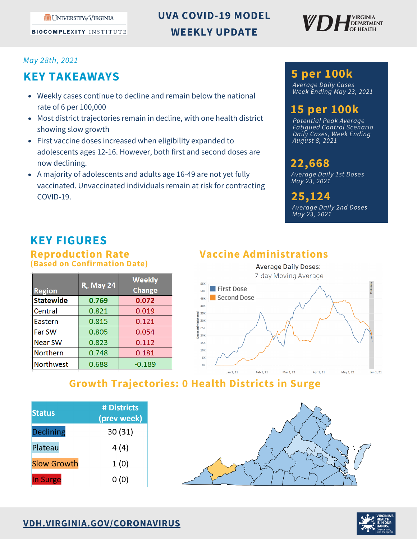**ME UNIVERSITY of VIRGINIA** 

**BIOCOMPLEXITY INSTITUTE** 

# **UVA COVID-19 MODEL WEEKLY UPDATE**



#### *May 28th, 2021*

# **KEY TAKEAWAYS**

- Weekly cases continue to decline and remain below the national rate of 6 per 100,000
- Most district trajectories remain in decline, with one health district showing slow growth
- First vaccine doses increased when eligibility expanded to adolescents ages 12-16. However, both first and second doses are now declining.
- A majority of adolescents and adults age 16-49 are not yet fully vaccinated. Unvaccinated individuals remain at risk for contracting COVID-19.

#### **5 per 100k**

*Average Daily Cases Week Ending May 23, 2021*

# **15 per 100k**

*Potential Peak Average Fatigued Control Scenario Daily Cases, Week Ending August 8, 2021*

#### **22,668** *Average Daily 1st Doses*

*May 23, 2021*

*Average Daily 2nd Doses May 23, 2021* **25,124**

# **KEY FIGURES**

#### **Reproduction Rate (Based on Confirmation Date)**

| <b>Region</b>    | <b>R<sub>a</sub></b> May 24 | <b>Weekly</b><br><b>Change</b> |
|------------------|-----------------------------|--------------------------------|
| <b>Statewide</b> | 0.769                       | 0.072                          |
| Central          | 0.821                       | 0.019                          |
| Eastern          | 0.815                       | 0.121                          |
| Far SW           | 0.805                       | 0.054                          |
| <b>Near SW</b>   | 0.823                       | 0.112                          |
| <b>Northern</b>  | 0.748                       | 0.181                          |
| <b>Northwest</b> | 0.688                       | $-0.189$                       |

# **Vaccine Administrations**



## **Growth Trajectories: 0 Health Districts in Surge**

| <b>Status</b>      | # Districts<br>(prev week) |
|--------------------|----------------------------|
| <b>Declining</b>   | 30(31)                     |
| Plateau            | 4 (4)                      |
| <b>Slow Growth</b> | 1(0)                       |
| <b>In Surge</b>    | 0(0)                       |



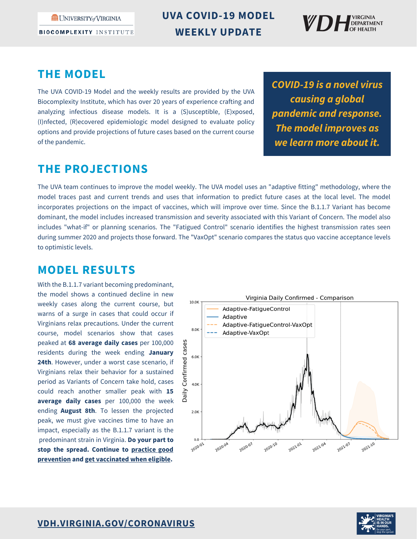UNIVERSITY of VIRGINIA

**BIOCOMPLEXITY INSTITUTE** 

**UVA COVID-19 MODEL WEEKLY UPDATE**



### **THE MODEL**

The UVA COVID-19 Model and the weekly results are provided by the UVA Biocomplexity Institute, which has over 20 years of experience crafting and analyzing infectious disease models. It is a (S)usceptible, (E)xposed, (I)nfected, (R)ecovered epidemiologic model designed to evaluate policy options and provide projections of future cases based on the current course of the pandemic.

*COVID-19 is a novel virus causing a global pandemic and response. The model improves as we learn more about it.*

## **THE PROJECTIONS**

The UVA team continues to improve the model weekly. The UVA model uses an "adaptive fitting" methodology, where the model traces past and current trends and uses that information to predict future cases at the local level. The model incorporates projections on the impact of vaccines, which will improve over time. Since the B.1.1.7 Variant has become dominant, the model includes increased transmission and severity associated with this Variant of Concern. The model also includes "what-if" or planning scenarios. The "Fatigued Control" scenario identifies the highest transmission rates seen during summer 2020 and projects those forward. The "VaxOpt" scenario compares the status quo vaccine acceptance levels to optimistic levels.

## **MODEL RESULTS**

With the B.1.1.7 variant becoming predominant, the model shows a continued decline in new weekly cases along the current course, but warns of a surge in cases that could occur if Virginians relax precautions. Under the current course, model scenarios show that cases peaked at **68 average daily cases** per 100,000 residents during the week ending **January 24th**. However, under a worst case scenario, if Virginians relax their behavior for a sustained period as Variants of Concern take hold, cases could reach another smaller peak with **15 average daily cases** per 100,000 the week ending **August 8th**. To lessen the projected peak, we must give vaccines time to have an impact, especially as the B.1.1.7 variant is the predominant strain in Virginia. **Do your part to stop the spread. Continue to practice good [prevention](https://www.vdh.virginia.gov/coronavirus/protect-yourself/) and get [vaccinated](https://www.vdh.virginia.gov/covid-19-vaccine/) when eligible.**